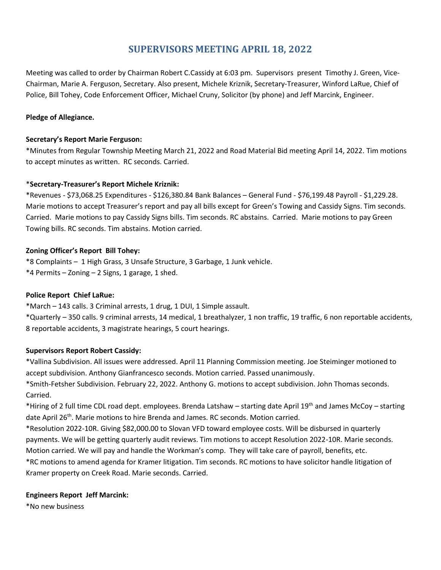# **SUPERVISORS MEETING APRIL 18, 2022**

Meeting was called to order by Chairman Robert C.Cassidy at 6:03 pm. Supervisors present Timothy J. Green, Vice-Chairman, Marie A. Ferguson, Secretary. Also present, Michele Kriznik, Secretary-Treasurer, Winford LaRue, Chief of Police, Bill Tohey, Code Enforcement Officer, Michael Cruny, Solicitor (by phone) and Jeff Marcink, Engineer.

# **Pledge of Allegiance.**

#### **Secretary's Report Marie Ferguson:**

\*Minutes from Regular Township Meeting March 21, 2022 and Road Material Bid meeting April 14, 2022. Tim motions to accept minutes as written. RC seconds. Carried.

# \***Secretary-Treasurer's Report Michele Kriznik:**

\*Revenues - \$73,068.25 Expenditures - \$126,380.84 Bank Balances – General Fund - \$76,199.48 Payroll - \$1,229.28. Marie motions to accept Treasurer's report and pay all bills except for Green's Towing and Cassidy Signs. Tim seconds. Carried. Marie motions to pay Cassidy Signs bills. Tim seconds. RC abstains. Carried. Marie motions to pay Green Towing bills. RC seconds. Tim abstains. Motion carried.

# **Zoning Officer's Report Bill Tohey:**

\*8 Complaints – 1 High Grass, 3 Unsafe Structure, 3 Garbage, 1 Junk vehicle.  $*4$  Permits – Zoning – 2 Signs, 1 garage, 1 shed.

#### **Police Report Chief LaRue:**

\*March – 143 calls. 3 Criminal arrests, 1 drug, 1 DUI, 1 Simple assault.

\*Quarterly – 350 calls. 9 criminal arrests, 14 medical, 1 breathalyzer, 1 non traffic, 19 traffic, 6 non reportable accidents, 8 reportable accidents, 3 magistrate hearings, 5 court hearings.

#### **Supervisors Report Robert Cassidy:**

\*Vallina Subdivision. All issues were addressed. April 11 Planning Commission meeting. Joe Steiminger motioned to accept subdivision. Anthony Gianfrancesco seconds. Motion carried. Passed unanimously.

\*Smith-Fetsher Subdivision. February 22, 2022. Anthony G. motions to accept subdivision. John Thomas seconds. Carried.

\*Hiring of 2 full time CDL road dept. employees. Brenda Latshaw – starting date April 19th and James McCoy – starting date April 26<sup>th</sup>. Marie motions to hire Brenda and James. RC seconds. Motion carried.

\*Resolution 2022-10R. Giving \$82,000.00 to Slovan VFD toward employee costs. Will be disbursed in quarterly payments. We will be getting quarterly audit reviews. Tim motions to accept Resolution 2022-10R. Marie seconds. Motion carried. We will pay and handle the Workman's comp. They will take care of payroll, benefits, etc. \*RC motions to amend agenda for Kramer litigation. Tim seconds. RC motions to have solicitor handle litigation of Kramer property on Creek Road. Marie seconds. Carried.

#### **Engineers Report Jeff Marcink:**

\*No new business